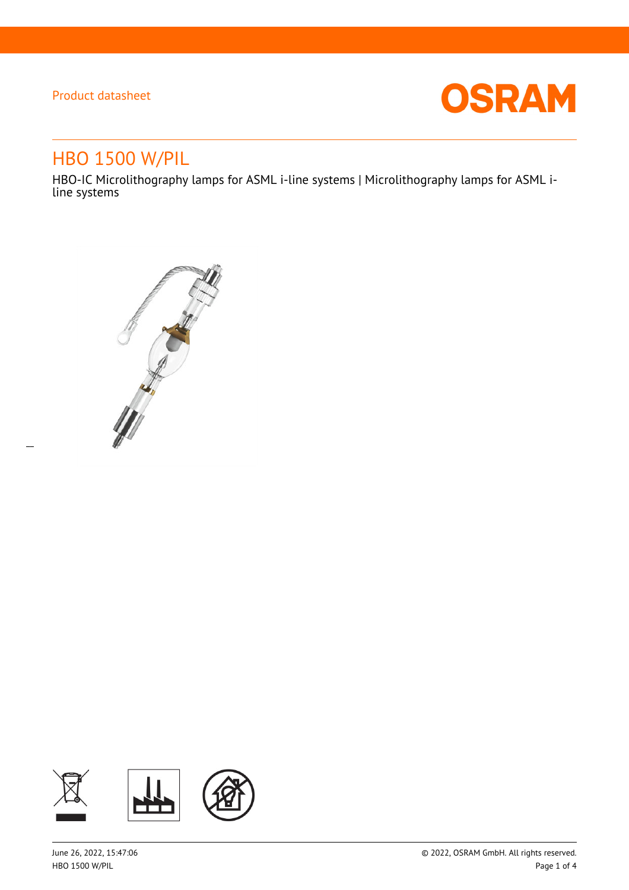$\overline{a}$ 



# HBO 1500 W/PIL

HBO-IC Microlithography lamps for ASML i-line systems | Microlithography lamps for ASML iline systems



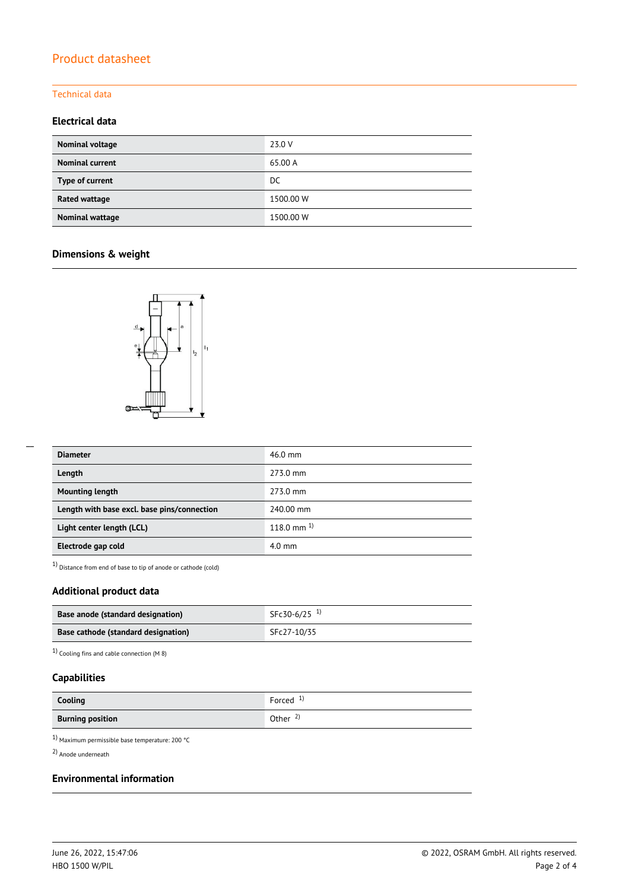### Technical data

### **Electrical data**

| Nominal voltage        | 23.0 V    |
|------------------------|-----------|
| <b>Nominal current</b> | 65.00 A   |
| Type of current        | DC.       |
| Rated wattage          | 1500.00 W |
| Nominal wattage        | 1500.00 W |

### **Dimensions & weight**



| <b>Diameter</b>                             | $46.0$ mm       |
|---------------------------------------------|-----------------|
| Length                                      | 273.0 mm        |
| <b>Mounting length</b>                      | 273.0 mm        |
| Length with base excl. base pins/connection | 240.00 mm       |
| Light center length (LCL)                   | 118.0 mm $^{1}$ |
| Electrode gap cold                          | $4.0$ mm        |

1) Distance from end of base to tip of anode or cathode (cold)

### **Additional product data**

| Base anode (standard designation)   | SFc30-6/25 <sup>1)</sup> |
|-------------------------------------|--------------------------|
| Base cathode (standard designation) | SFc27-10/35              |

1) Cooling fins and cable connection (M 8)

### **Capabilities**

| Cooling                 | Forced <sup>1)</sup> |
|-------------------------|----------------------|
| <b>Burning position</b> | Other $\frac{2}{3}$  |

1) Maximum permissible base temperature: 200 °C

2) Anode underneath

#### **Environmental information**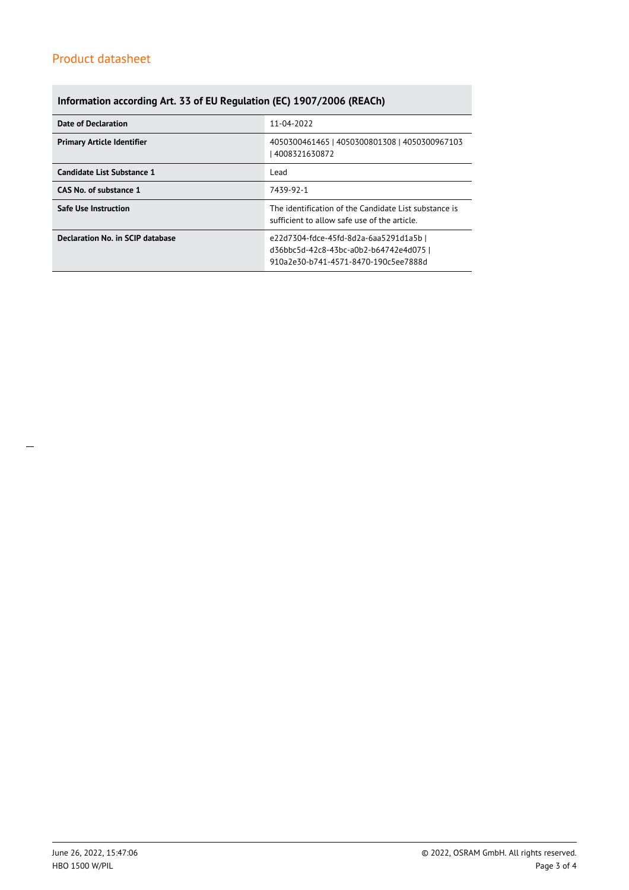### **Information according Art. 33 of EU Regulation (EC) 1907/2006 (REACh)**

| Date of Declaration               | 11-04-2022                                                                                                               |  |  |
|-----------------------------------|--------------------------------------------------------------------------------------------------------------------------|--|--|
| <b>Primary Article Identifier</b> | 4050300461465   4050300801308   4050300967103<br>4008321630872                                                           |  |  |
| Candidate List Substance 1        | Lead                                                                                                                     |  |  |
| CAS No. of substance 1            | 7439-92-1                                                                                                                |  |  |
| <b>Safe Use Instruction</b>       | The identification of the Candidate List substance is<br>sufficient to allow safe use of the article.                    |  |  |
| Declaration No. in SCIP database  | e22d7304-fdce-45fd-8d2a-6aa5291d1a5b  <br>d36bbc5d-42c8-43bc-a0b2-b64742e4d075 l<br>910a2e30-b741-4571-8470-190c5ee7888d |  |  |